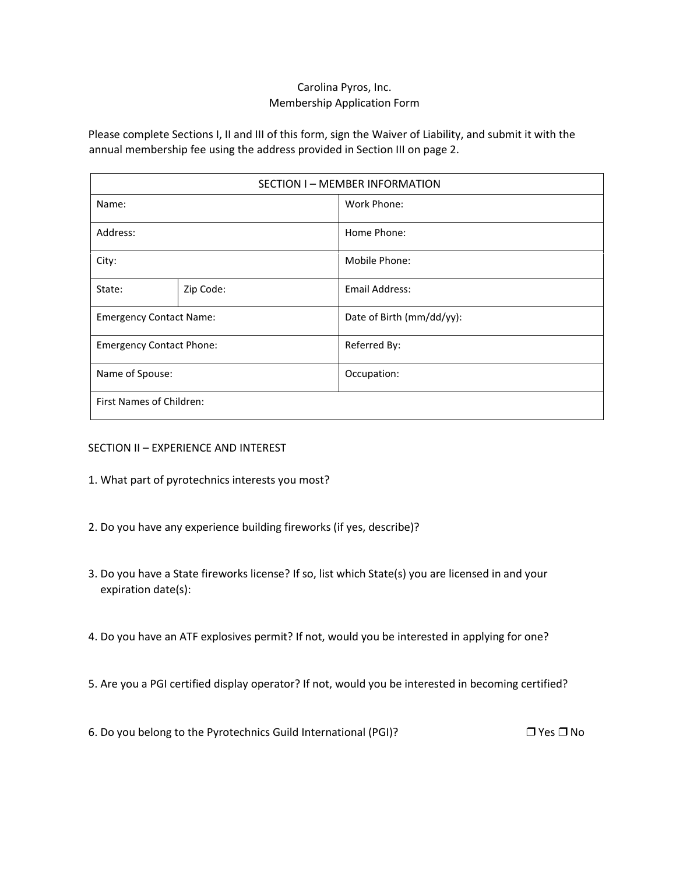## Carolina Pyros, Inc. Membership Application Form

Please complete Sections I, II and III of this form, sign the Waiver of Liability, and submit it with the annual membership fee using the address provided in Section III on page 2.

| SECTION I - MEMBER INFORMATION  |           |                           |  |  |
|---------------------------------|-----------|---------------------------|--|--|
| Name:                           |           | Work Phone:               |  |  |
| Address:                        |           | Home Phone:               |  |  |
| City:                           |           | Mobile Phone:             |  |  |
| State:                          | Zip Code: | <b>Email Address:</b>     |  |  |
| <b>Emergency Contact Name:</b>  |           | Date of Birth (mm/dd/yy): |  |  |
| <b>Emergency Contact Phone:</b> |           | Referred By:              |  |  |
| Name of Spouse:                 |           | Occupation:               |  |  |
| First Names of Children:        |           |                           |  |  |

SECTION II – EXPERIENCE AND INTEREST

- 1. What part of pyrotechnics interests you most?
- 2. Do you have any experience building fireworks (if yes, describe)?
- 3. Do you have a State fireworks license? If so, list which State(s) you are licensed in and your expiration date(s):
- 4. Do you have an ATF explosives permit? If not, would you be interested in applying for one?
- 5. Are you a PGI certified display operator? If not, would you be interested in becoming certified?

6. Do you belong to the Pyrotechnics Guild International (PGI)? ❒ Yes ❒No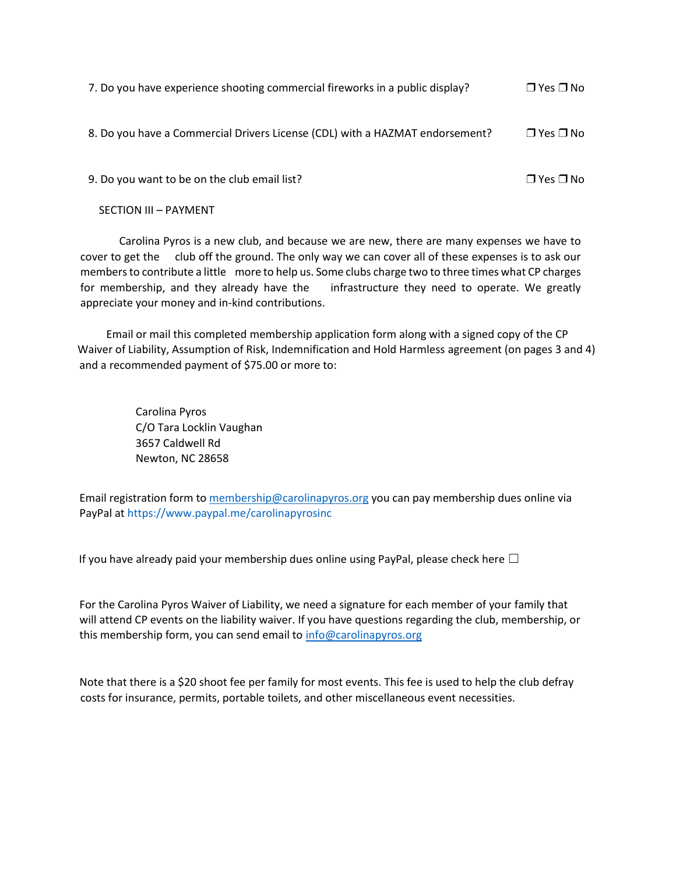| 7. Do you have experience shooting commercial fireworks in a public display? | $\Box$ Yes $\Box$ No |
|------------------------------------------------------------------------------|----------------------|
| 8. Do you have a Commercial Drivers License (CDL) with a HAZMAT endorsement? | $\Box$ Yes $\Box$ No |
| 9. Do you want to be on the club email list?                                 | $\Box$ Yes $\Box$ No |

SECTION III – PAYMENT

Carolina Pyros is a new club, and because we are new, there are many expenses we have to cover to get the club off the ground. The only way we can cover all of these expenses is to ask our members to contribute a little more to help us. Some clubs charge two to three times what CP charges for membership, and they already have the infrastructure they need to operate. We greatly appreciate your money and in-kind contributions.

Email or mail this completed membership application form along with a signed copy of the CP Waiver of Liability, Assumption of Risk, Indemnification and Hold Harmless agreement (on pages 3 and 4) and a recommended payment of \$75.00 or more to:

> Carolina Pyros C/O Tara Locklin Vaughan 3657 Caldwell Rd Newton, NC 28658

Email registration form t[o membership@carolinapyros.org](mailto:membership@carolinapyros.org) you can pay membership dues online via PayPal at https://www.paypal.me/carolinapyrosinc

If you have already paid your membership dues online using PayPal, please check here  $\Box$ 

For the Carolina Pyros Waiver of Liability, we need a signature for each member of your family that will attend CP events on the liability waiver. If you have questions regarding the club, membership, or this membership form, you can send email to [info@carolinapyros.org](mailto:info@carolinapyros.org)

Note that there is a \$20 shoot fee per family for most events. This fee is used to help the club defray costs for insurance, permits, portable toilets, and other miscellaneous event necessities.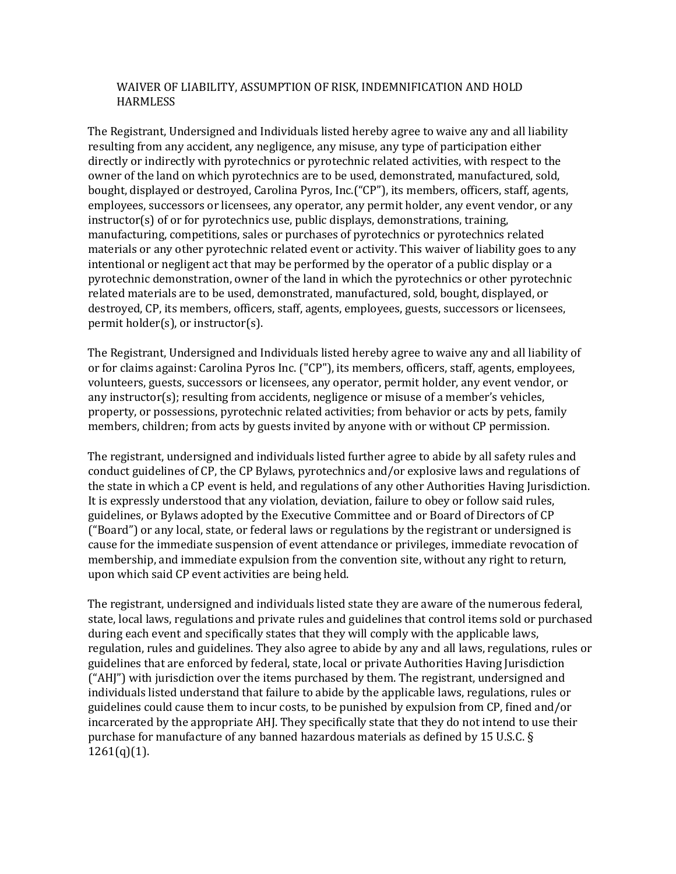## WAIVER OF LIABILITY, ASSUMPTION OF RISK, INDEMNIFICATION AND HOLD HARMLESS

The Registrant, Undersigned and Individuals listed hereby agree to waive any and all liability resulting from any accident, any negligence, any misuse, any type of participation either directly or indirectly with pyrotechnics or pyrotechnic related activities, with respect to the owner of the land on which pyrotechnics are to be used, demonstrated, manufactured, sold, bought, displayed or destroyed, Carolina Pyros, Inc.("CP"), its members, officers, staff, agents, employees, successors or licensees, any operator, any permit holder, any event vendor, or any instructor(s) of or for pyrotechnics use, public displays, demonstrations, training, manufacturing, competitions, sales or purchases of pyrotechnics or pyrotechnics related materials or any other pyrotechnic related event or activity. This waiver of liability goes to any intentional or negligent act that may be performed by the operator of a public display or a pyrotechnic demonstration, owner of the land in which the pyrotechnics or other pyrotechnic related materials are to be used, demonstrated, manufactured, sold, bought, displayed, or destroyed, CP, its members, officers, staff, agents, employees, guests, successors or licensees, permit holder(s), or instructor(s).

The Registrant, Undersigned and Individuals listed hereby agree to waive any and all liability of or for claims against: Carolina Pyros Inc. ("CP"), its members, officers, staff, agents, employees, volunteers, guests, successors or licensees, any operator, permit holder, any event vendor, or any instructor(s); resulting from accidents, negligence or misuse of a member's vehicles, property, or possessions, pyrotechnic related activities; from behavior or acts by pets, family members, children; from acts by guests invited by anyone with or without CP permission.

The registrant, undersigned and individuals listed further agree to abide by all safety rules and conduct guidelines of CP, the CP Bylaws, pyrotechnics and/or explosive laws and regulations of the state in which a CP event is held, and regulations of any other Authorities Having Jurisdiction. It is expressly understood that any violation, deviation, failure to obey or follow said rules, guidelines, or Bylaws adopted by the Executive Committee and or Board of Directors of CP ("Board") or any local, state, or federal laws or regulations by the registrant or undersigned is cause for the immediate suspension of event attendance or privileges, immediate revocation of membership, and immediate expulsion from the convention site, without any right to return, upon which said CP event activities are being held.

The registrant, undersigned and individuals listed state they are aware of the numerous federal, state, local laws, regulations and private rules and guidelines that control items sold or purchased during each event and specifically states that they will comply with the applicable laws, regulation, rules and guidelines. They also agree to abide by any and all laws, regulations, rules or guidelines that are enforced by federal, state, local or private Authorities Having Jurisdiction ("AHJ") with jurisdiction over the items purchased by them. The registrant, undersigned and individuals listed understand that failure to abide by the applicable laws, regulations, rules or guidelines could cause them to incur costs, to be punished by expulsion from CP, fined and/or incarcerated by the appropriate AHJ. They specifically state that they do not intend to use their purchase for manufacture of any banned hazardous materials as defined by 15 U.S.C. §  $1261(q)(1)$ .